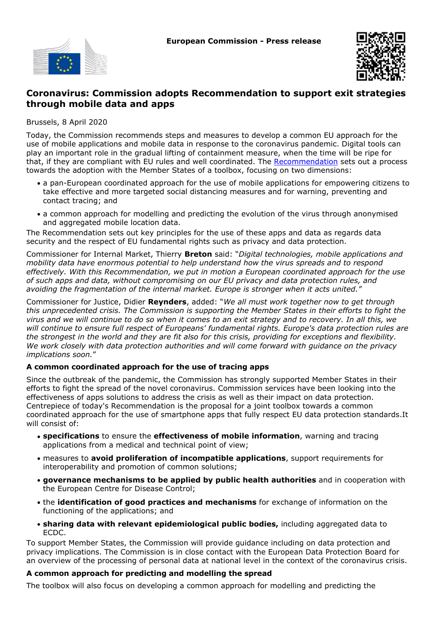



# **Coronavirus: Commission adopts Recommendation to support exit strategies through mobile data and apps**

Brussels, 8 April 2020

Today, the Commission recommends steps and measures to develop a common EU approach for the use of mobile applications and mobile data in response to the coronavirus pandemic. Digital tools can play an important role in the gradual lifting of containment measure, when the time will be ripe for that, if they are compliant with EU rules and well coordinated. The [Recommendation](https://ec.europa.eu/info/files/recommendation-apps-contact-tracing_en) sets out a process towards the adoption with the Member States of a toolbox, focusing on two dimensions:

- a pan-European coordinated approach for the use of mobile applications for empowering citizens to take effective and more targeted social distancing measures and for warning, preventing and contact tracing; and
- a common approach for modelling and predicting the evolution of the virus through anonymised and aggregated mobile location data.

The Recommendation sets out key principles for the use of these apps and data as regards data security and the respect of EU fundamental rights such as privacy and data protection.

Commissioner for Internal Market, Thierry **Breton** said: "*Digital technologies, mobile applications and mobility data have enormous potential to help understand how the virus spreads and to respond effectively. With this Recommendation, we put in motion a European coordinated approach for the use of such apps and data, without compromising on our EU privacy and data protection rules, and avoiding the fragmentation of the internal market. Europe is stronger when it acts united."*

Commissioner for Justice, Didier **Reynders**, added: "*We all must work together now to get through this unprecedented crisis. The Commission is supporting the Member States in their efforts to fight the virus and we will continue to do so when it comes to an exit strategy and to recovery. In all this, we will continue to ensure full respect of Europeans' fundamental rights. Europe's data protection rules are the strongest in the world and they are fit also for this crisis, providing for exceptions and flexibility. We work closely with data protection authorities and will come forward with guidance on the privacy implications soon.*"

## **A common coordinated approach for the use of tracing apps**

Since the outbreak of the pandemic, the Commission has strongly supported Member States in their efforts to fight the spread of the novel coronavirus. Commission services have been looking into the effectiveness of apps solutions to address the crisis as well as their impact on data protection. Centrepiece of today's Recommendation is the proposal for a joint toolbox towards a common coordinated approach for the use of smartphone apps that fully respect EU data protection standards.It will consist of:

- **specifications** to ensure the **effectiveness of mobile information**, warning and tracing applications from a medical and technical point of view;
- measures to avoid proliferation of incompatible applications, support requirements for interoperability and promotion of common solutions;
- **governance mechanisms to be applied by public health authorities** and in cooperation with the European Centre for Disease Control;
- the **identification of good practices and mechanisms** for exchange of information on the functioning of the applications; and
- sharing data with relevant epidemiological public bodies, including aggregated data to ECDC.

To support Member States, the Commission will provide guidance including on data protection and privacy implications. The Commission is in close contact with the European Data Protection Board for an overview of the processing of personal data at national level in the context of the coronavirus crisis.

## **A common approach for predicting and modelling the spread**

The toolbox will also focus on developing a common approach for modelling and predicting the